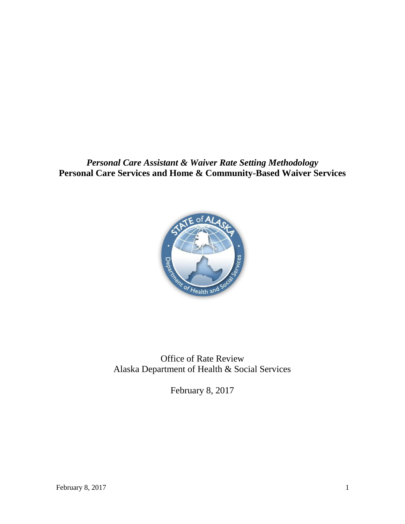*Personal Care Assistant & Waiver Rate Setting Methodology* **Personal Care Services and Home & Community-Based Waiver Services**



Office of Rate Review Alaska Department of Health & Social Services

February 8, 2017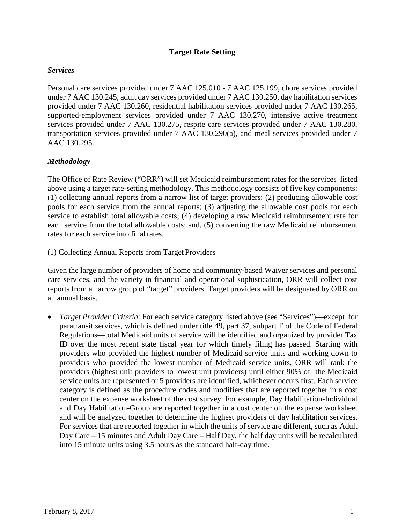### **Target Rate Setting**

#### *Services*

Personal care services provided under 7 AAC 125.010 - 7 AAC 125.199, chore services provided under 7 AAC 130.245, adult day services provided under 7 AAC 130.250, day habilitation services provided under 7 AAC 130.260, residential habilitation services provided under 7 AAC 130.265, supported-employment services provided under 7 AAC 130.270, intensive active treatment services provided under 7 AAC 130.275, respite care services provided under 7 AAC 130.280, transportation services provided under 7 AAC 130.290(a), and meal services provided under 7 AAC 130.295.

#### *Methodology*

The Office of Rate Review ("ORR") will set Medicaid reimbursement rates for the services listed above using a target rate-setting methodology. This methodology consists of five key components: (1) collecting annual reports from a narrow list of target providers; (2) producing allowable cost pools for each service from the annual reports; (3) adjusting the allowable cost pools for each service to establish total allowable costs; (4) developing a raw Medicaid reimbursement rate for each service from the total allowable costs; and, (5) converting the raw Medicaid reimbursement rates for each service into final rates.

(1) Collecting Annual Reports from Target Providers

Given the large number of providers of home and community-based Waiver services and personal care services, and the variety in financial and operational sophistication, ORR will collect cost reports from a narrow group of "target" providers. Target providers will be designated by ORR on an annual basis.

• *Target Provider Criteria*: For each service category listed above (see "Services")—except for paratransit services, which is defined under title 49, part 37, subpart F of the Code of Federal Regulations—total Medicaid units of service will be identified and organized by provider Tax ID over the most recent state fiscal year for which timely filing has passed. Starting with providers who provided the highest number of Medicaid service units and working down to providers who provided the lowest number of Medicaid service units, ORR will rank the providers (highest unit providers to lowest unit providers) until either 90% of the Medicaid service units are represented or 5 providers are identified, whichever occurs first. Each service category is defined as the procedure codes and modifiers that are reported together in a cost center on the expense worksheet of the cost survey. For example, Day Habilitation-Individual and Day Habilitation-Group are reported together in a cost center on the expense worksheet and will be analyzed together to determine the highest providers of day habilitation services. For services that are reported together in which the units of service are different, such as Adult Day Care – 15 minutes and Adult Day Care – Half Day, the half day units will be recalculated into 15 minute units using 3.5 hours as the standard half-day time.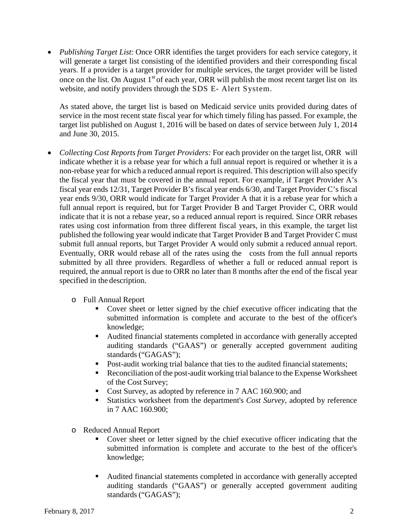• *Publishing Target List*: Once ORR identifies the target providers for each service category, it will generate a target list consisting of the identified providers and their corresponding fiscal years. If a provider is a target provider for multiple services, the target provider will be listed once on the list. On August  $1<sup>st</sup>$  of each year, ORR will publish the most recent target list on its website, and notify providers through the SDS E- Alert System.

As stated above, the target list is based on Medicaid service units provided during dates of service in the most recent state fiscal year for which timely filing has passed. For example, the target list published on August 1, 2016 will be based on dates of service between July 1, 2014 and June 30, 2015.

- *Collecting Cost Reports from Target Providers:* For each provider on the target list, ORR will indicate whether it is a rebase year for which a full annual report is required or whether it is a non-rebase year for which a reduced annual report is required. This description will also specify the fiscal year that must be covered in the annual report. For example, if Target Provider A's fiscal year ends 12/31, Target Provider B's fiscal year ends 6/30, and Target Provider C's fiscal year ends 9/30, ORR would indicate for Target Provider A that it is a rebase year for which a full annual report is required, but for Target Provider B and Target Provider C, ORR would indicate that it is not a rebase year, so a reduced annual report is required. Since ORR rebases rates using cost information from three different fiscal years, in this example, the target list published the following year would indicate that Target Provider B and Target Provider C must submit full annual reports, but Target Provider A would only submit a reduced annual report. Eventually, ORR would rebase all of the rates using the costs from the full annual reports submitted by all three providers. Regardless of whether a full or reduced annual report is required, the annual report is due to ORR no later than 8 months after the end of the fiscal year specified in the description.
	- o Full Annual Report
		- Cover sheet or letter signed by the chief executive officer indicating that the submitted information is complete and accurate to the best of the officer's knowledge;
		- Audited financial statements completed in accordance with generally accepted auditing standards ("GAAS") or generally accepted government auditing standards ("GAGAS");
		- Post-audit working trial balance that ties to the audited financial statements;
		- Reconciliation of the post-audit working trial balance to the Expense Worksheet of the Cost Survey;
		- Cost Survey, as adopted by reference in 7 AAC 160.900; and
		- Statistics worksheet from the department's *Cost Survey*, adopted by reference in 7 AAC 160.900;
	- o Reduced Annual Report
		- Cover sheet or letter signed by the chief executive officer indicating that the submitted information is complete and accurate to the best of the officer's knowledge;
		- Audited financial statements completed in accordance with generally accepted auditing standards ("GAAS") or generally accepted government auditing standards ("GAGAS");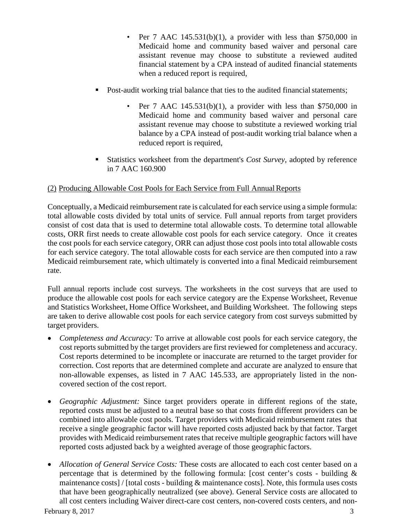- Per 7 AAC  $145.531(b)(1)$ , a provider with less than \$750,000 in Medicaid home and community based waiver and personal care assistant revenue may choose to substitute a reviewed audited financial statement by a CPA instead of audited financial statements when a reduced report is required,
- Post-audit working trial balance that ties to the audited financial statements;
	- Per 7 AAC  $145.531(b)(1)$ , a provider with less than \$750,000 in Medicaid home and community based waiver and personal care assistant revenue may choose to substitute a reviewed working trial balance by a CPA instead of post-audit working trial balance when a reduced report is required,
- Statistics worksheet from the department's *Cost Survey*, adopted by reference in 7 AAC 160.900

### (2) Producing Allowable Cost Pools for Each Service from Full AnnualReports

Conceptually, a Medicaid reimbursement rate is calculated for each service using a simple formula: total allowable costs divided by total units of service. Full annual reports from target providers consist of cost data that is used to determine total allowable costs. To determine total allowable costs, ORR first needs to create allowable cost pools for each service category. Once it creates the cost pools for each service category, ORR can adjust those cost pools into total allowable costs for each service category. The total allowable costs for each service are then computed into a raw Medicaid reimbursement rate, which ultimately is converted into a final Medicaid reimbursement rate.

Full annual reports include cost surveys. The worksheets in the cost surveys that are used to produce the allowable cost pools for each service category are the Expense Worksheet, Revenue and Statistics Worksheet, Home Office Worksheet, and Building Worksheet. The following steps are taken to derive allowable cost pools for each service category from cost surveys submitted by target providers.

- *Completeness and Accuracy:* To arrive at allowable cost pools for each service category, the cost reports submitted by the target providers are first reviewed for completeness and accuracy. Cost reports determined to be incomplete or inaccurate are returned to the target provider for correction. Cost reports that are determined complete and accurate are analyzed to ensure that non-allowable expenses, as listed in 7 AAC 145.533, are appropriately listed in the noncovered section of the cost report.
- *Geographic Adjustment:* Since target providers operate in different regions of the state, reported costs must be adjusted to a neutral base so that costs from different providers can be combined into allowable cost pools. Target providers with Medicaid reimbursement rates that receive a single geographic factor will have reported costs adjusted back by that factor. Target provides with Medicaid reimbursement rates that receive multiple geographic factors will have reported costs adjusted back by a weighted average of those geographic factors.
- *Allocation of General Service Costs:* These costs are allocated to each cost center based on a percentage that is determined by the following formula: [cost center's costs - building & maintenance costs] / [total costs - building & maintenance costs]. Note, this formula uses costs that have been geographically neutralized (see above). General Service costs are allocated to all cost centers including Waiver direct-care cost centers, non-covered costs centers, and non-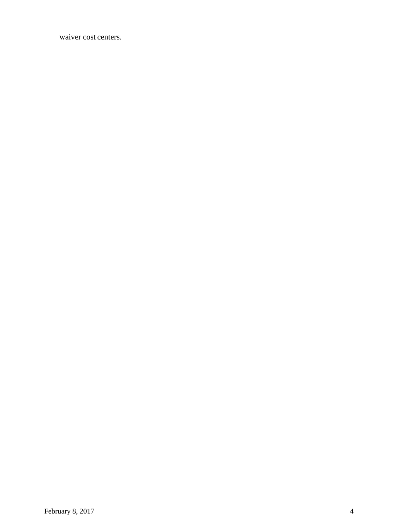waiver cost centers.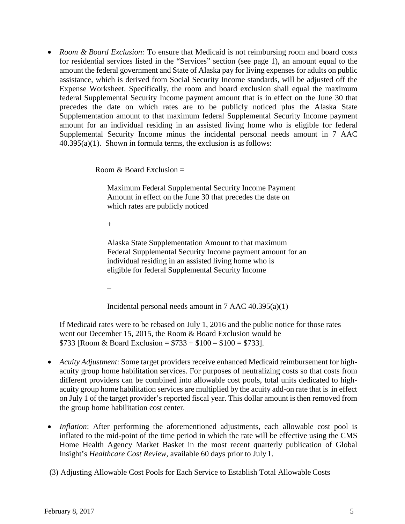• *Room & Board Exclusion:* To ensure that Medicaid is not reimbursing room and board costs for residential services listed in the "Services" section (see page 1), an amount equal to the amount the federal government and State of Alaska pay for living expenses for adults on public assistance, which is derived from Social Security Income standards, will be adjusted off the Expense Worksheet. Specifically, the room and board exclusion shall equal the maximum federal Supplemental Security Income payment amount that is in effect on the June 30 that precedes the date on which rates are to be publicly noticed plus the Alaska State Supplementation amount to that maximum federal Supplemental Security Income payment amount for an individual residing in an assisted living home who is eligible for federal Supplemental Security Income minus the incidental personal needs amount in 7 AAC 40.395(a)(1). Shown in formula terms, the exclusion is as follows:

Room  $\&$  Board Exclusion  $=$ 

Maximum Federal Supplemental Security Income Payment Amount in effect on the June 30 that precedes the date on which rates are publicly noticed

 $+$ 

Alaska State Supplementation Amount to that maximum Federal Supplemental Security Income payment amount for an individual residing in an assisted living home who is eligible for federal Supplemental Security Income

–

Incidental personal needs amount in  $7$  AAC  $40.395(a)(1)$ 

If Medicaid rates were to be rebased on July 1, 2016 and the public notice for those rates went out December 15, 2015, the Room & Board Exclusion would be \$733 [Room & Board Exclusion =  $$733 + $100 - $100 = $733$ ].

- *Acuity Adjustment*: Some target providers receive enhanced Medicaid reimbursement for highacuity group home habilitation services. For purposes of neutralizing costs so that costs from different providers can be combined into allowable cost pools, total units dedicated to highacuity group home habilitation services are multiplied by the acuity add-on rate that is in effect on July 1 of the target provider's reported fiscal year. This dollar amount is then removed from the group home habilitation cost center.
- *Inflation*: After performing the aforementioned adjustments, each allowable cost pool is inflated to the mid-point of the time period in which the rate will be effective using the CMS Home Health Agency Market Basket in the most recent quarterly publication of Global Insight's *Healthcare Cost Review*, available 60 days prior to July 1.

(3) Adjusting Allowable Cost Pools for Each Service to Establish Total Allowable Costs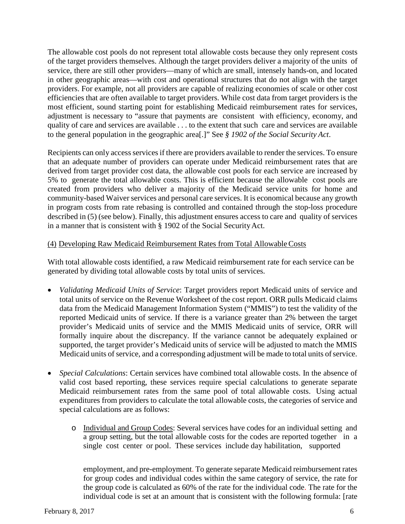The allowable cost pools do not represent total allowable costs because they only represent costs of the target providers themselves. Although the target providers deliver a majority of the units of service, there are still other providers—many of which are small, intensely hands-on, and located in other geographic areas—with cost and operational structures that do not align with the target providers. For example, not all providers are capable of realizing economies of scale or other cost efficiencies that are often available to target providers. While cost data from target providers is the most efficient, sound starting point for establishing Medicaid reimbursement rates for services, adjustment is necessary to "assure that payments are consistent with efficiency, economy, and quality of care and services are available . . . to the extent that such care and services are available to the general population in the geographic area[.]" See *§ 1902 of the Social Security Act*.

Recipients can only access services if there are providers available to render the services. To ensure that an adequate number of providers can operate under Medicaid reimbursement rates that are derived from target provider cost data, the allowable cost pools for each service are increased by 5% to generate the total allowable costs. This is efficient because the allowable cost pools are created from providers who deliver a majority of the Medicaid service units for home and community-based Waiver services and personal care services. It is economical because any growth in program costs from rate rebasing is controlled and contained through the stop-loss procedure described in (5) (see below). Finally, this adjustment ensures access to care and quality of services in a manner that is consistent with § 1902 of the Social Security Act.

### (4) Developing Raw Medicaid Reimbursement Rates from Total AllowableCosts

With total allowable costs identified, a raw Medicaid reimbursement rate for each service can be generated by dividing total allowable costs by total units of services.

- *Validating Medicaid Units of Service*: Target providers report Medicaid units of service and total units of service on the Revenue Worksheet of the cost report. ORR pulls Medicaid claims data from the Medicaid Management Information System ("MMIS") to test the validity of the reported Medicaid units of service. If there is a variance greater than 2% between the target provider's Medicaid units of service and the MMIS Medicaid units of service, ORR will formally inquire about the discrepancy. If the variance cannot be adequately explained or supported, the target provider's Medicaid units of service will be adjusted to match the MMIS Medicaid units of service, and a corresponding adjustment will be made to total units of service.
- *Special Calculations*: Certain services have combined total allowable costs. In the absence of valid cost based reporting, these services require special calculations to generate separate Medicaid reimbursement rates from the same pool of total allowable costs. Using actual expenditures from providers to calculate the total allowable costs, the categories of service and special calculations are as follows:
	- o Individual and Group Codes: Several services have codes for an individual setting and a group setting, but the total allowable costs for the codes are reported together in a single cost center or pool. These services include day habilitation, supported

employment, and pre-employment. To generate separate Medicaid reimbursement rates for group codes and individual codes within the same category of service, the rate for the group code is calculated as 60% of the rate for the individual code. The rate for the individual code is set at an amount that is consistent with the following formula: [rate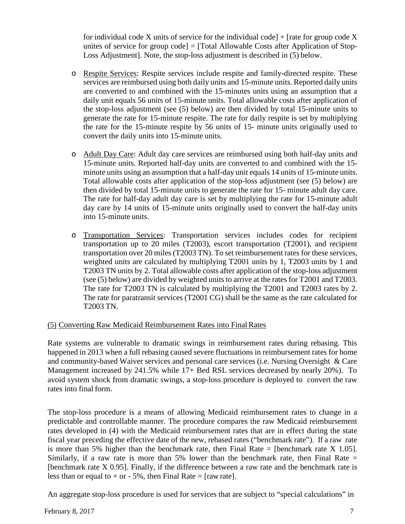for individual code X units of service for the individual code]  $+$  [rate for group code X unites of service for group code] = [Total Allowable Costs after Application of Stop-Loss Adjustment]. Note, the stop-loss adjustment is described in (5) below.

- o Respite Services: Respite services include respite and family-directed respite. These services are reimbursed using both daily units and 15-minute units. Reported daily units are converted to and combined with the 15-minutes units using an assumption that a daily unit equals 56 units of 15-minute units. Total allowable costs after application of the stop-loss adjustment (see (5) below) are then divided by total 15-minute units to generate the rate for 15-minute respite. The rate for daily respite is set by multiplying the rate for the 15-minute respite by 56 units of 15- minute units originally used to convert the daily units into 15-minute units.
- o Adult Day Care: Adult day care services are reimbursed using both half-day units and 15-minute units. Reported half-day units are converted to and combined with the 15 minute units using an assumption that a half-day unit equals 14 units of 15-minute units. Total allowable costs after application of the stop-loss adjustment (see (5) below) are then divided by total 15-minute units to generate the rate for 15- minute adult day care. The rate for half-day adult day care is set by multiplying the rate for 15-minute adult day care by 14 units of 15-minute units originally used to convert the half-day units into 15-minute units.
- o Transportation Services: Transportation services includes codes for recipient transportation up to 20 miles (T2003), escort transportation (T2001), and recipient transportation over 20 miles (T2003 TN). To set reimbursement rates for these services, weighted units are calculated by multiplying T2001 units by 1, T2003 units by 1 and T2003 TN units by 2. Total allowable costs after application of the stop-loss adjustment (see (5) below) are divided by weighted units to arrive at the rates for T2001 and T2003. The rate for T2003 TN is calculated by multiplying the T2001 and T2003 rates by 2. The rate for paratransit services (T2001 CG) shall be the same as the rate calculated for T2003 TN.

# (5) Converting Raw Medicaid Reimbursement Rates into FinalRates

Rate systems are vulnerable to dramatic swings in reimbursement rates during rebasing. This happened in 2013 when a full rebasing caused severe fluctuations in reimbursement rates for home and community-based Waiver services and personal care services (i.e. Nursing Oversight & Care Management increased by 241.5% while 17+ Bed RSL services decreased by nearly 20%). To avoid system shock from dramatic swings, a stop-loss procedure is deployed to convert the raw rates into final form.

The stop-loss procedure is a means of allowing Medicaid reimbursement rates to change in a predictable and controllable manner. The procedure compares the raw Medicaid reimbursement rates developed in (4) with the Medicaid reimbursement rates that are in effect during the state fiscal year preceding the effective date of the new, rebased rates ("benchmark rate"). If a raw rate is more than 5% higher than the benchmark rate, then Final Rate = [benchmark rate  $X$  1.05]. Similarly, if a raw rate is more than 5% lower than the benchmark rate, then Final Rate  $=$ [benchmark rate X 0.95]. Finally, if the difference between a raw rate and the benchmark rate is less than or equal to  $+$  or  $-$  5%, then Final Rate = [raw rate].

An aggregate stop-loss procedure is used for services that are subject to "special calculations" in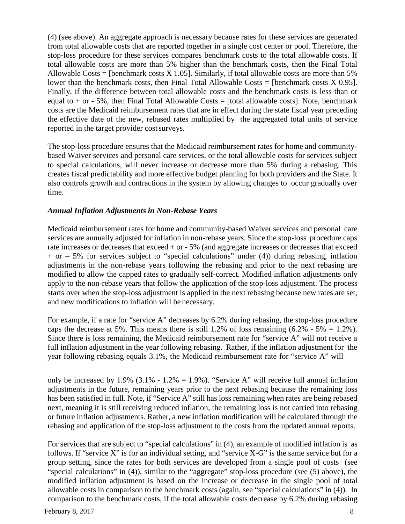(4) (see above). An aggregate approach is necessary because rates for these services are generated from total allowable costs that are reported together in a single cost center or pool. Therefore, the stop-loss procedure for these services compares benchmark costs to the total allowable costs. If total allowable costs are more than 5% higher than the benchmark costs, then the Final Total Allowable Costs = [benchmark costs  $X$  1.05]. Similarly, if total allowable costs are more than 5% lower than the benchmark costs, then Final Total Allowable Costs = [benchmark costs X 0.95]. Finally, if the difference between total allowable costs and the benchmark costs is less than or equal to  $+$  or  $-$  5%, then Final Total Allowable Costs = [total allowable costs]. Note, benchmark costs are the Medicaid reimbursement rates that are in effect during the state fiscal year preceding the effective date of the new, rebased rates multiplied by the aggregated total units of service reported in the target provider cost surveys.

The stop-loss procedure ensures that the Medicaid reimbursement rates for home and communitybased Waiver services and personal care services, or the total allowable costs for services subject to special calculations, will never increase or decrease more than 5% during a rebasing. This creates fiscal predictability and more effective budget planning for both providers and the State. It also controls growth and contractions in the system by allowing changes to occur gradually over time.

### *Annual Inflation Adjustments in Non-Rebase Years*

Medicaid reimbursement rates for home and community-based Waiver services and personal care services are annually adjusted for inflation in non-rebase years. Since the stop-loss procedure caps rate increases or decreases that exceed + or - 5% (and aggregate increases or decreases that exceed  $+$  or  $-$  5% for services subject to "special calculations" under (4)) during rebasing, inflation adjustments in the non-rebase years following the rebasing and prior to the next rebasing are modified to allow the capped rates to gradually self-correct. Modified inflation adjustments only apply to the non-rebase years that follow the application of the stop-loss adjustment. The process starts over when the stop-loss adjustment is applied in the next rebasing because new rates are set, and new modifications to inflation will be necessary.

For example, if a rate for "service A" decreases by 6.2% during rebasing, the stop-loss procedure caps the decrease at 5%. This means there is still 1.2% of loss remaining  $(6.2\% - 5\% = 1.2\%)$ . Since there is loss remaining, the Medicaid reimbursement rate for "service A" will not receive a full inflation adjustment in the year following rebasing. Rather, if the inflation adjustment for the year following rebasing equals 3.1%, the Medicaid reimbursement rate for "service A" will

only be increased by 1.9% (3.1% - 1.2% = 1.9%). "Service A" will receive full annual inflation adjustments in the future, remaining years prior to the next rebasing because the remaining loss has been satisfied in full. Note, if "Service A" still has loss remaining when rates are being rebased next, meaning it is still receiving reduced inflation, the remaining loss is not carried into rebasing or future inflation adjustments. Rather, a new inflation modification will be calculated through the rebasing and application of the stop-loss adjustment to the costs from the updated annual reports.

For services that are subject to "special calculations" in (4), an example of modified inflation is as follows. If "service X" is for an individual setting, and "service X-G" is the same service but for a group setting, since the rates for both services are developed from a single pool of costs (see "special calculations" in (4)), similar to the "aggregate" stop-loss procedure (see (5) above), the modified inflation adjustment is based on the increase or decrease in the single pool of total allowable costs in comparison to the benchmark costs (again, see "special calculations" in (4)). In comparison to the benchmark costs, if the total allowable costs decrease by 6.2% during rebasing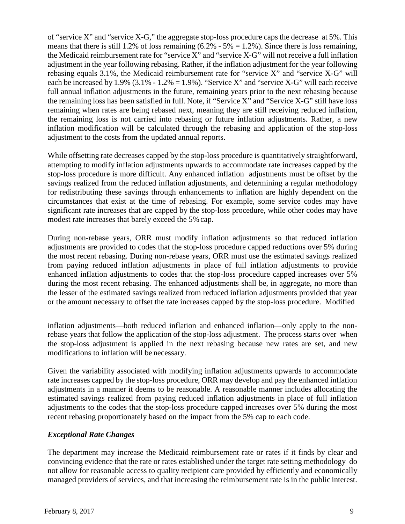of "service X" and "service X-G," the aggregate stop-loss procedure caps the decrease at 5%. This means that there is still 1.2% of loss remaining  $(6.2\% - 5\% = 1.2\%)$ . Since there is loss remaining, the Medicaid reimbursement rate for "service X" and "service X-G" will not receive a full inflation adjustment in the year following rebasing. Rather, if the inflation adjustment for the year following rebasing equals 3.1%, the Medicaid reimbursement rate for "service X" and "service X-G" will each be increased by  $1.9\%$  (3.1% - 1.2% = 1.9%). "Service X" and "service X-G" will each receive full annual inflation adjustments in the future, remaining years prior to the next rebasing because the remaining loss has been satisfied in full. Note, if "Service X" and "Service X-G" still have loss remaining when rates are being rebased next, meaning they are still receiving reduced inflation, the remaining loss is not carried into rebasing or future inflation adjustments. Rather, a new inflation modification will be calculated through the rebasing and application of the stop-loss adjustment to the costs from the updated annual reports.

While offsetting rate decreases capped by the stop-loss procedure is quantitatively straightforward, attempting to modify inflation adjustments upwards to accommodate rate increases capped by the stop-loss procedure is more difficult. Any enhanced inflation adjustments must be offset by the savings realized from the reduced inflation adjustments, and determining a regular methodology for redistributing these savings through enhancements to inflation are highly dependent on the circumstances that exist at the time of rebasing. For example, some service codes may have significant rate increases that are capped by the stop-loss procedure, while other codes may have modest rate increases that barely exceed the 5% cap.

During non-rebase years, ORR must modify inflation adjustments so that reduced inflation adjustments are provided to codes that the stop-loss procedure capped reductions over 5% during the most recent rebasing. During non-rebase years, ORR must use the estimated savings realized from paying reduced inflation adjustments in place of full inflation adjustments to provide enhanced inflation adjustments to codes that the stop-loss procedure capped increases over 5% during the most recent rebasing. The enhanced adjustments shall be, in aggregate, no more than the lesser of the estimated savings realized from reduced inflation adjustments provided that year or the amount necessary to offset the rate increases capped by the stop-loss procedure. Modified

inflation adjustments—both reduced inflation and enhanced inflation—only apply to the nonrebase years that follow the application of the stop-loss adjustment. The process starts over when the stop-loss adjustment is applied in the next rebasing because new rates are set, and new modifications to inflation will be necessary.

Given the variability associated with modifying inflation adjustments upwards to accommodate rate increases capped by the stop-loss procedure, ORR may develop and pay the enhanced inflation adjustments in a manner it deems to be reasonable. A reasonable manner includes allocating the estimated savings realized from paying reduced inflation adjustments in place of full inflation adjustments to the codes that the stop-loss procedure capped increases over 5% during the most recent rebasing proportionately based on the impact from the 5% cap to each code.

# *Exceptional Rate Changes*

The department may increase the Medicaid reimbursement rate or rates if it finds by clear and convincing evidence that the rate or rates established under the target rate setting methodology do not allow for reasonable access to quality recipient care provided by efficiently and economically managed providers of services, and that increasing the reimbursement rate is in the public interest.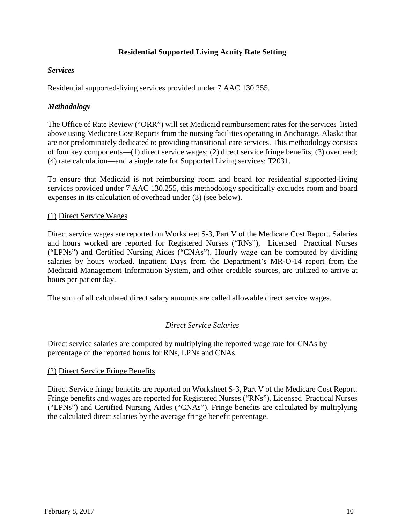# **Residential Supported Living Acuity Rate Setting**

### *Services*

Residential supported-living services provided under 7 AAC 130.255.

# *Methodology*

The Office of Rate Review ("ORR") will set Medicaid reimbursement rates for the services listed above using Medicare Cost Reports from the nursing facilities operating in Anchorage, Alaska that are not predominately dedicated to providing transitional care services. This methodology consists of four key components—(1) direct service wages; (2) direct service fringe benefits; (3) overhead; (4) rate calculation—and a single rate for Supported Living services: T2031.

To ensure that Medicaid is not reimbursing room and board for residential supported-living services provided under 7 AAC 130.255, this methodology specifically excludes room and board expenses in its calculation of overhead under (3) (see below).

# (1) Direct Service Wages

Direct service wages are reported on Worksheet S-3, Part V of the Medicare Cost Report. Salaries and hours worked are reported for Registered Nurses ("RNs"), Licensed Practical Nurses ("LPNs") and Certified Nursing Aides ("CNAs"). Hourly wage can be computed by dividing salaries by hours worked. Inpatient Days from the Department's MR-O-14 report from the Medicaid Management Information System, and other credible sources, are utilized to arrive at hours per patient day.

The sum of all calculated direct salary amounts are called allowable direct service wages.

# *Direct Service Salaries*

Direct service salaries are computed by multiplying the reported wage rate for CNAs by percentage of the reported hours for RNs, LPNs and CNAs.

# (2) Direct Service Fringe Benefits

Direct Service fringe benefits are reported on Worksheet S-3, Part V of the Medicare Cost Report. Fringe benefits and wages are reported for Registered Nurses ("RNs"), Licensed Practical Nurses ("LPNs") and Certified Nursing Aides ("CNAs"). Fringe benefits are calculated by multiplying the calculated direct salaries by the average fringe benefit percentage.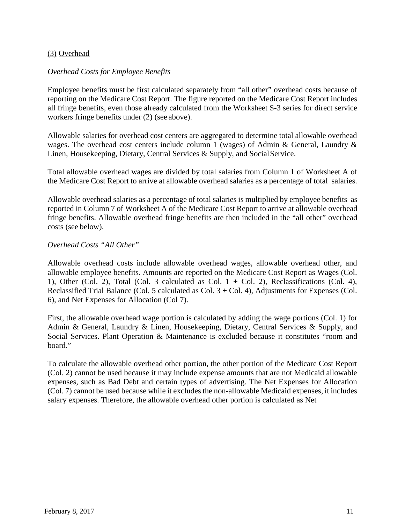### (3) Overhead

#### *Overhead Costs for Employee Benefits*

Employee benefits must be first calculated separately from "all other" overhead costs because of reporting on the Medicare Cost Report. The figure reported on the Medicare Cost Report includes all fringe benefits, even those already calculated from the Worksheet S-3 series for direct service workers fringe benefits under (2) (see above).

Allowable salaries for overhead cost centers are aggregated to determine total allowable overhead wages. The overhead cost centers include column 1 (wages) of Admin & General, Laundry & Linen, Housekeeping, Dietary, Central Services & Supply, and SocialService.

Total allowable overhead wages are divided by total salaries from Column 1 of Worksheet A of the Medicare Cost Report to arrive at allowable overhead salaries as a percentage of total salaries.

Allowable overhead salaries as a percentage of total salaries is multiplied by employee benefits as reported in Column 7 of Worksheet A of the Medicare Cost Report to arrive at allowable overhead fringe benefits. Allowable overhead fringe benefits are then included in the "all other" overhead costs (see below).

#### *Overhead Costs "All Other"*

Allowable overhead costs include allowable overhead wages, allowable overhead other, and allowable employee benefits. Amounts are reported on the Medicare Cost Report as Wages (Col. 1), Other (Col. 2), Total (Col. 3 calculated as Col.  $1 +$  Col. 2), Reclassifications (Col. 4), Reclassified Trial Balance (Col. 5 calculated as Col. 3 + Col. 4), Adjustments for Expenses (Col. 6), and Net Expenses for Allocation (Col 7).

First, the allowable overhead wage portion is calculated by adding the wage portions (Col. 1) for Admin & General, Laundry & Linen, Housekeeping, Dietary, Central Services & Supply, and Social Services. Plant Operation & Maintenance is excluded because it constitutes "room and board."

To calculate the allowable overhead other portion, the other portion of the Medicare Cost Report (Col. 2) cannot be used because it may include expense amounts that are not Medicaid allowable expenses, such as Bad Debt and certain types of advertising. The Net Expenses for Allocation (Col. 7) cannot be used because while it excludes the non-allowable Medicaid expenses, it includes salary expenses. Therefore, the allowable overhead other portion is calculated as Net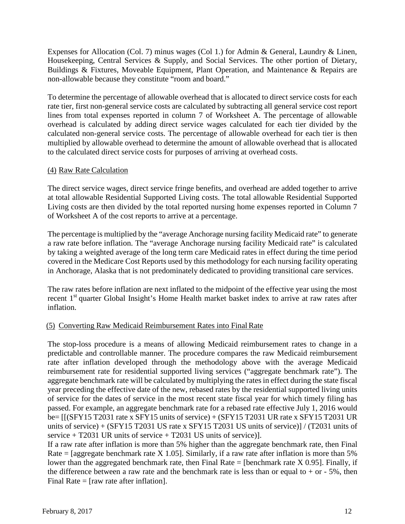Expenses for Allocation (Col. 7) minus wages (Col 1.) for Admin & General, Laundry & Linen, Housekeeping, Central Services & Supply, and Social Services. The other portion of Dietary, Buildings & Fixtures, Moveable Equipment, Plant Operation, and Maintenance & Repairs are non-allowable because they constitute "room and board."

To determine the percentage of allowable overhead that is allocated to direct service costs for each rate tier, first non-general service costs are calculated by subtracting all general service cost report lines from total expenses reported in column 7 of Worksheet A. The percentage of allowable overhead is calculated by adding direct service wages calculated for each tier divided by the calculated non-general service costs. The percentage of allowable overhead for each tier is then multiplied by allowable overhead to determine the amount of allowable overhead that is allocated to the calculated direct service costs for purposes of arriving at overhead costs.

# (4) Raw Rate Calculation

The direct service wages, direct service fringe benefits, and overhead are added together to arrive at total allowable Residential Supported Living costs. The total allowable Residential Supported Living costs are then divided by the total reported nursing home expenses reported in Column 7 of Worksheet A of the cost reports to arrive at a percentage.

The percentage is multiplied by the "average Anchorage nursing facility Medicaid rate" to generate a raw rate before inflation. The "average Anchorage nursing facility Medicaid rate" is calculated by taking a weighted average of the long term care Medicaid rates in effect during the time period covered in the Medicare Cost Reports used by this methodology for each nursing facility operating in Anchorage, Alaska that is not predominately dedicated to providing transitional care services.

The raw rates before inflation are next inflated to the midpoint of the effective year using the most recent 1<sup>st</sup> quarter Global Insight's Home Health market basket index to arrive at raw rates after inflation.

# (5) Converting Raw Medicaid Reimbursement Rates into FinalRate

The stop-loss procedure is a means of allowing Medicaid reimbursement rates to change in a predictable and controllable manner. The procedure compares the raw Medicaid reimbursement rate after inflation developed through the methodology above with the average Medicaid reimbursement rate for residential supported living services ("aggregate benchmark rate"). The aggregate benchmark rate will be calculated by multiplying the rates in effect during the state fiscal year preceding the effective date of the new, rebased rates by the residential supported living units of service for the dates of service in the most recent state fiscal year for which timely filing has passed. For example, an aggregate benchmark rate for a rebased rate effective July 1, 2016 would be= [[(SFY15 T2031 rate x SFY15 units of service) + (SFY15 T2031 UR rate x SFY15 T2031 UR units of service) + (SFY15 T2031 US rate x SFY15 T2031 US units of service)] / (T2031 units of service  $+$  T2031 UR units of service  $+$  T2031 US units of service)].

If a raw rate after inflation is more than 5% higher than the aggregate benchmark rate, then Final Rate = [aggregate benchmark rate X 1.05]. Similarly, if a raw rate after inflation is more than 5% lower than the aggregated benchmark rate, then Final Rate = [benchmark rate  $X$  0.95]. Finally, if the difference between a raw rate and the benchmark rate is less than or equal to  $+$  or  $-$  5%, then Final Rate = [raw rate after inflation].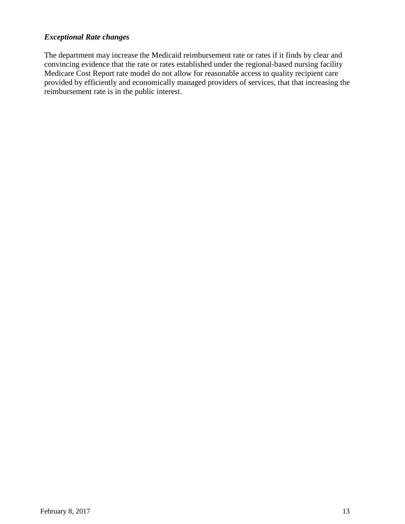### *Exceptional Rate changes*

The department may increase the Medicaid reimbursement rate or rates if it finds by clear and convincing evidence that the rate or rates established under the regional-based nursing facility Medicare Cost Report rate model do not allow for reasonable access to quality recipient care provided by efficiently and economically managed providers of services, that that increasing the reimbursement rate is in the public interest.